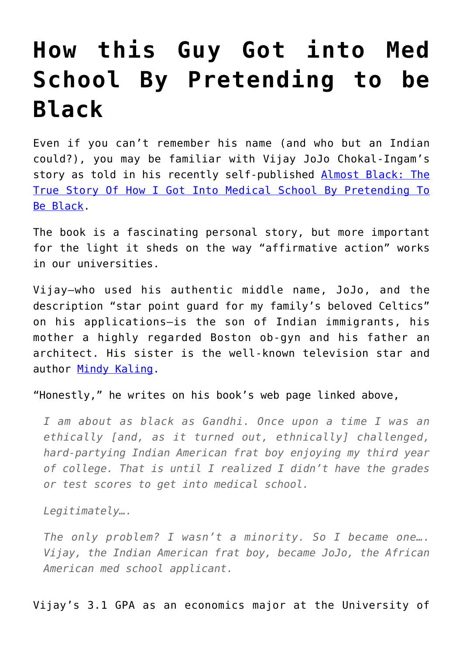## **[How this Guy Got into Med](https://intellectualtakeout.org/2016/11/how-this-guy-got-into-med-school-by-pretending-to-be-black/) [School By Pretending to be](https://intellectualtakeout.org/2016/11/how-this-guy-got-into-med-school-by-pretending-to-be-black/) [Black](https://intellectualtakeout.org/2016/11/how-this-guy-got-into-med-school-by-pretending-to-be-black/)**

Even if you can't remember his name (and who but an Indian could?), you may be familiar with Vijay JoJo Chokal-Ingam's story as told in his recently self-published [Almost Black: The](http://almostblack.com) [True Story Of How I Got Into Medical School By Pretending To](http://almostblack.com) [Be Black.](http://almostblack.com)

The book is a fascinating personal story, but more important for the light it sheds on the way "affirmative action" works in our universities.

Vijay—who used his authentic middle name, JoJo, and the description "star point guard for my family's beloved Celtics" on his applications—is the son of Indian immigrants, his mother a highly regarded Boston ob-gyn and his father an architect. His sister is the well-known television star and author [Mindy Kaling.](http://theconcernsofmindykaling.com/about-mindy/)

"Honestly," he writes on his book's web page linked above,

*I am about as black as Gandhi. Once upon a time I was an ethically [and, as it turned out, ethnically] challenged, hard-partying Indian American frat boy enjoying my third year of college. That is until I realized I didn't have the grades or test scores to get into medical school.*

*Legitimately….*

*The only problem? I wasn't a minority. So I became one…. Vijay, the Indian American frat boy, became JoJo, the African American med school applicant.*

Vijay's 3.1 GPA as an economics major at the University of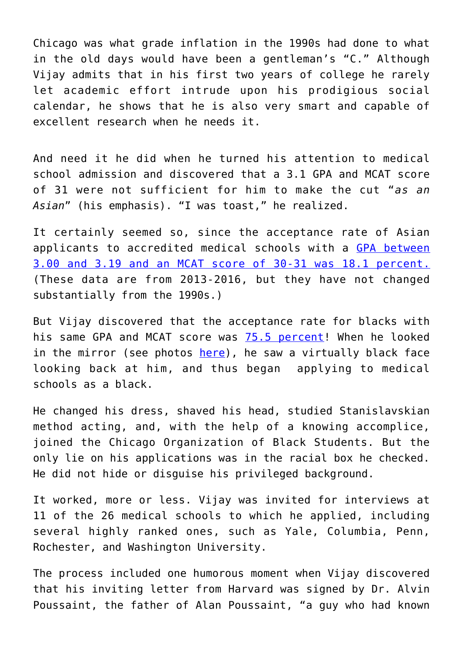Chicago was what grade inflation in the 1990s had done to what in the old days would have been a gentleman's "C." Although Vijay admits that in his first two years of college he rarely let academic effort intrude upon his prodigious social calendar, he shows that he is also very smart and capable of excellent research when he needs it.

And need it he did when he turned his attention to medical school admission and discovered that a 3.1 GPA and MCAT score of 31 were not sufficient for him to make the cut "*as an Asian*" (his emphasis). "I was toast," he realized.

It certainly seemed so, since the acceptance rate of Asian applicants to accredited medical schools with a [GPA between](https://www.aamc.org/download/321516/data/factstablea24-3.pdf) [3.00 and 3.19 and an MCAT score of 30-31 was 18.1 percent.](https://www.aamc.org/download/321516/data/factstablea24-3.pdf) (These data are from 2013-2016, but they have not changed substantially from the 1990s.)

But Vijay discovered that the acceptance rate for blacks with his same GPA and MCAT score was [75.5 percent!](https://www.aamc.org/download/321514/data/factstablea24-2.pdf) When he looked in the mirror (see photos [here](http://almostblack.com/photos/)), he saw a virtually black face looking back at him, and thus began applying to medical schools as a black.

He changed his dress, shaved his head, studied Stanislavskian method acting, and, with the help of a knowing accomplice, joined the Chicago Organization of Black Students. But the only lie on his applications was in the racial box he checked. He did not hide or disguise his privileged background.

It worked, more or less. Vijay was invited for interviews at 11 of the 26 medical schools to which he applied, including several highly ranked ones, such as Yale, Columbia, Penn, Rochester, and Washington University.

The process included one humorous moment when Vijay discovered that his inviting letter from Harvard was signed by Dr. Alvin Poussaint, the father of Alan Poussaint, "a guy who had known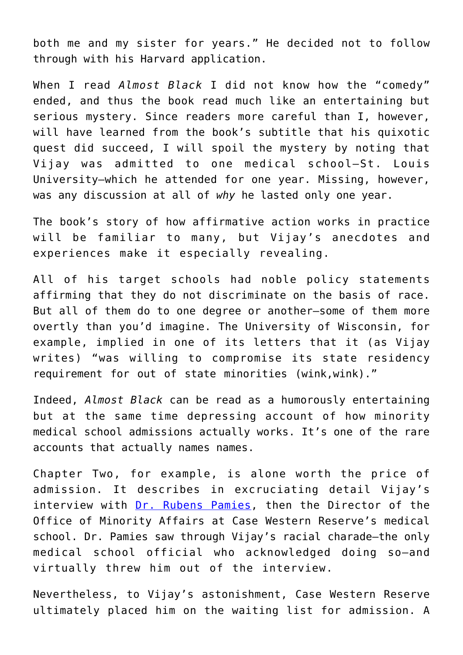both me and my sister for years." He decided not to follow through with his Harvard application.

When I read *Almost Black* I did not know how the "comedy" ended, and thus the book read much like an entertaining but serious mystery. Since readers more careful than I, however, will have learned from the book's subtitle that his quixotic quest did succeed, I will spoil the mystery by noting that Vijay was admitted to one medical school—St. Louis University—which he attended for one year. Missing, however, was any discussion at all of *why* he lasted only one year.

The book's story of how affirmative action works in practice will be familiar to many, but Vijay's anecdotes and experiences make it especially revealing.

All of his target schools had noble policy statements affirming that they do not discriminate on the basis of race. But all of them do to one degree or another—some of them more overtly than you'd imagine. The University of Wisconsin, for example, implied in one of its letters that it (as Vijay writes) "was willing to compromise its state residency requirement for out of state minorities (wink,wink)."

Indeed, *Almost Black* can be read as a humorously entertaining but at the same time depressing account of how minority medical school admissions actually works. It's one of the rare accounts that actually names names.

Chapter Two, for example, is alone worth the price of admission. It describes in excruciating detail Vijay's interview with [Dr. Rubens Pamies](http://www.journalnma.org/article/s0027-9684%2815%2930344-8/pdf), then the Director of the Office of Minority Affairs at Case Western Reserve's medical school. Dr. Pamies saw through Vijay's racial charade—the only medical school official who acknowledged doing so—and virtually threw him out of the interview.

Nevertheless, to Vijay's astonishment, Case Western Reserve ultimately placed him on the waiting list for admission. A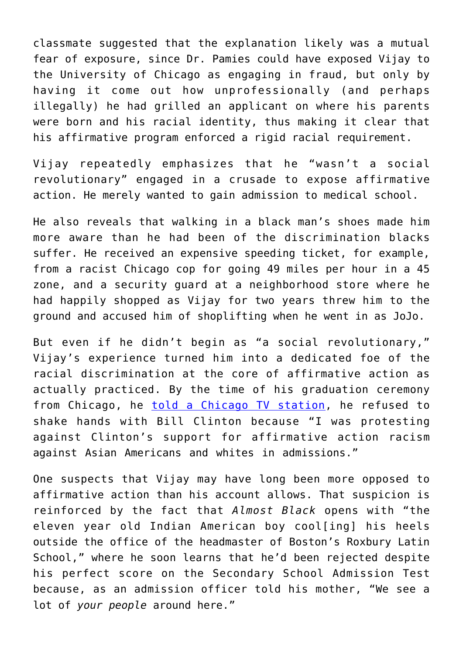classmate suggested that the explanation likely was a mutual fear of exposure, since Dr. Pamies could have exposed Vijay to the University of Chicago as engaging in fraud, but only by having it come out how unprofessionally (and perhaps illegally) he had grilled an applicant on where his parents were born and his racial identity, thus making it clear that his affirmative program enforced a rigid racial requirement.

Vijay repeatedly emphasizes that he "wasn't a social revolutionary" engaged in a crusade to expose affirmative action. He merely wanted to gain admission to medical school.

He also reveals that walking in a black man's shoes made him more aware than he had been of the discrimination blacks suffer. He received an expensive speeding ticket, for example, from a racist Chicago cop for going 49 miles per hour in a 45 zone, and a security guard at a neighborhood store where he had happily shopped as Vijay for two years threw him to the ground and accused him of shoplifting when he went in as JoJo.

But even if he didn't begin as "a social revolutionary," Vijay's experience turned him into a dedicated foe of the racial discrimination at the core of affirmative action as actually practiced. By the time of his graduation ceremony from Chicago, he [told a Chicago TV station](http://www.newscenter1.tv/story/33340508/affirmative-action-hacktivist-vijay-jojo-chokal-ingam-calls-on-american-people-to-stop-hillary-clinton-from-promoting-racism-in-the-country), he refused to shake hands with Bill Clinton because "I was protesting against Clinton's support for affirmative action racism against Asian Americans and whites in admissions."

One suspects that Vijay may have long been more opposed to affirmative action than his account allows. That suspicion is reinforced by the fact that *Almost Black* opens with "the eleven year old Indian American boy cool[ing] his heels outside the office of the headmaster of Boston's Roxbury Latin School," where he soon learns that he'd been rejected despite his perfect score on the Secondary School Admission Test because, as an admission officer told his mother, "We see a lot of *your people* around here."